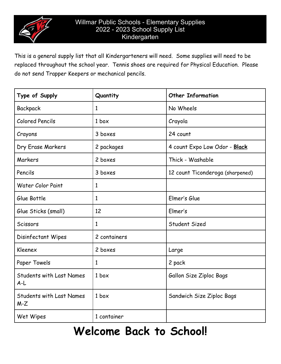

This is a general supply list that all Kindergarteners will need. Some supplies will need to be replaced throughout the school year. Tennis shoes are required for Physical Education. Please do not send Trapper Keepers or mechanical pencils.

| Type of Supply                           | Quantity         | <b>Other Information</b>         |
|------------------------------------------|------------------|----------------------------------|
| Backpack                                 | 1                | No Wheels                        |
| <b>Colored Pencils</b>                   | 1 <sub>box</sub> | Crayola                          |
| Crayons                                  | 3 boxes          | 24 count                         |
| Dry Erase Markers                        | 2 packages       | 4 count Expo Low Odor - Black    |
| Markers                                  | 2 boxes          | Thick - Washable                 |
| Pencils                                  | 3 boxes          | 12 count Ticonderoga (sharpened) |
| <b>Water Color Paint</b>                 | 1                |                                  |
| Glue Bottle                              | $\mathbf{1}$     | Elmer's Glue                     |
| Glue Sticks (small)                      | 12               | Elmer's                          |
| Scissors                                 | $\mathbf{1}$     | Student Sized                    |
| Disinfectant Wipes                       | 2 containers     |                                  |
| Kleenex                                  | 2 boxes          | Large                            |
| Paper Towels                             | $\mathbf{1}$     | 2 pack                           |
| <b>Students with Last Names</b><br>$A-L$ | 1 <sub>box</sub> | Gallon Size Ziploc Bags          |
| <b>Students with Last Names</b><br>$M-Z$ | 1 <sub>box</sub> | Sandwich Size Ziploc Bags        |
| Wet Wipes                                | 1 container      |                                  |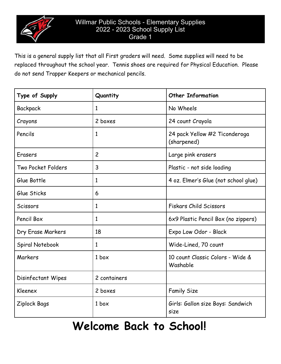

This is a general supply list that all First graders will need. Some supplies will need to be replaced throughout the school year. Tennis shoes are required for Physical Education. Please do not send Trapper Keepers or mechanical pencils.

| Type of Supply     | Quantity         | <b>Other Information</b>                     |
|--------------------|------------------|----------------------------------------------|
| Backpack           | 1                | No Wheels                                    |
| Crayons            | 2 boxes          | 24 count Crayola                             |
| Pencils            | 1                | 24 pack Yellow #2 Ticonderoga<br>(sharpened) |
| Erasers            | $\overline{2}$   | Large pink erasers                           |
| Two Pocket Folders | $\overline{3}$   | Plastic - not side loading                   |
| Glue Bottle        | 1                | 4 oz. Elmer's Glue (not school glue)         |
| Glue Sticks        | 6                |                                              |
| Scissors           | $\mathbf{1}$     | <b>Fiskars Child Scissors</b>                |
| Pencil Box         | $\mathbf{1}$     | 6x9 Plastic Pencil Box (no zippers)          |
| Dry Erase Markers  | 18               | Expo Low Odor - Black                        |
| Spiral Notebook    | $\mathbf{1}$     | Wide-Lined, 70 count                         |
| Markers            | 1 <sub>box</sub> | 10 count Classic Colors - Wide &<br>Washable |
| Disinfectant Wipes | 2 containers     |                                              |
| Kleenex            | 2 boxes          | <b>Family Size</b>                           |
| Ziplock Bags       | 1 <sub>box</sub> | Girls: Gallon size Boys: Sandwich<br>size    |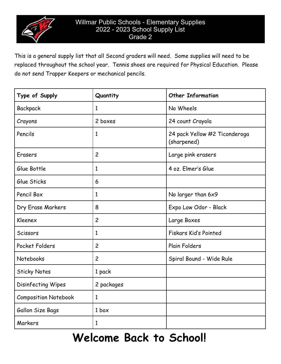

This is a general supply list that all Second graders will need. Some supplies will need to be replaced throughout the school year. Tennis shoes are required for Physical Education. Please do not send Trapper Keepers or mechanical pencils.

| Type of Supply              | Quantity         | <b>Other Information</b>                     |
|-----------------------------|------------------|----------------------------------------------|
| Backpack                    | $\mathbf{1}$     | No Wheels                                    |
| Crayons                     | 2 boxes          | 24 count Crayola                             |
| Pencils                     | $\mathbf{1}$     | 24 pack Yellow #2 Ticonderoga<br>(sharpened) |
| Erasers                     | $\overline{c}$   | Large pink erasers                           |
| Glue Bottle                 | $\mathbf{1}$     | 4 oz. Elmer's Glue                           |
| Glue Sticks                 | 6                |                                              |
| Pencil Box                  | $\mathbf{1}$     | No larger than 6x9                           |
| Dry Erase Markers           | 8                | Expo Low Odor - Black                        |
| Kleenex                     | $\overline{c}$   | Large Boxes                                  |
| Scissors                    | $\mathbf{1}$     | Fiskars Kid's Pointed                        |
| Pocket Folders              | $\overline{c}$   | <b>Plain Folders</b>                         |
| Notebooks                   | $\overline{c}$   | Spiral Bound - Wide Rule                     |
| <b>Sticky Notes</b>         | 1 pack           |                                              |
| Disinfecting Wipes          | 2 packages       |                                              |
| <b>Composition Notebook</b> | $\mathbf{1}$     |                                              |
| Gallon Size Bags            | 1 <sub>box</sub> |                                              |
| Markers                     | $\mathbf{1}$     |                                              |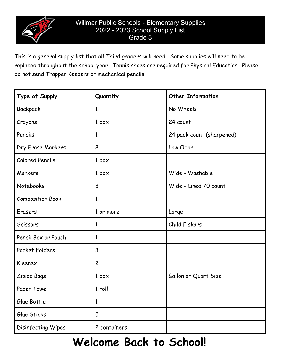

This is a general supply list that all Third graders will need. Some supplies will need to be replaced throughout the school year. Tennis shoes are required for Physical Education. Please do not send Trapper Keepers or mechanical pencils.

| Type of Supply          | Quantity         | <b>Other Information</b>  |
|-------------------------|------------------|---------------------------|
| Backpack                | 1                | No Wheels                 |
| Crayons                 | 1 <sub>box</sub> | 24 count                  |
| Pencils                 | 1                | 24 pack count (sharpened) |
| Dry Erase Markers       | 8                | Low Odor                  |
| <b>Colored Pencils</b>  | 1 <sub>box</sub> |                           |
| Markers                 | 1 <sub>box</sub> | Wide - Washable           |
| Notebooks               | $\mathbf{3}$     | Wide - Lined 70 count     |
| <b>Composition Book</b> | $\mathbf{1}$     |                           |
| Erasers                 | 1 or more        | Large                     |
| Scissors                | $\mathbf{1}$     | Child Fiskars             |
| Pencil Box or Pouch     | 1                |                           |
| Pocket Folders          | $\mathsf{3}$     |                           |
| Kleenex                 | $\overline{2}$   |                           |
| Ziploc Bags             | 1 <sub>box</sub> | Gallon or Quart Size      |
| Paper Towel             | 1 roll           |                           |
| Glue Bottle             | $\mathbf{1}$     |                           |
| Glue Sticks             | 5                |                           |
| Disinfecting Wipes      | 2 containers     |                           |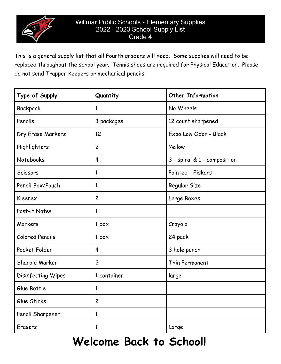

This is a general supply list that all Fourth graders will need. Some supplies will need to be replaced throughout the school year. Tennis shoes are required for Physical Education. Please do not send Trapper Keepers or mechanical pencils.

| Type of Supply         | Quantity         | <b>Other Information</b>     |
|------------------------|------------------|------------------------------|
| Backpack               | 1                | No Wheels                    |
| Pencils                | 3 packages       | 12 count sharpened           |
| Dry Erase Markers      | 12               | Expo Low Odor - Black        |
| Highlighters           | $\overline{c}$   | Yellow                       |
| Notebooks              | $\overline{4}$   | 3 - spiral & 1 - composition |
| Scissors               | 1                | Pointed - Fiskars            |
| Pencil Box/Pouch       | 1                | Regular Size                 |
| Kleenex                | $\overline{c}$   | Large Boxes                  |
| Post-it Notes          | 1                |                              |
| Markers                | 1 <sub>box</sub> | Crayola                      |
| <b>Colored Pencils</b> | 1 <sub>box</sub> | 24 pack                      |
| Pocket Folder          | 4                | 3 hole punch                 |
| Sharpie Marker         | $\overline{c}$   | Thin Permanent               |
| Disinfecting Wipes     | 1 container      | large                        |
| Glue Bottle            | 1                |                              |
| Glue Sticks            | $\overline{c}$   |                              |
| Pencil Sharpener       | 1                |                              |
| Erasers                | 1                | Large                        |